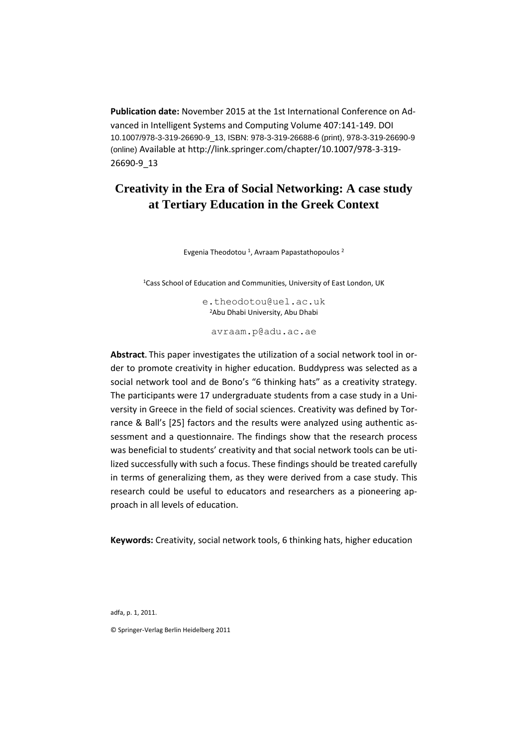**Publication date:** November 2015 at the 1st International Conference on Advanced in Intelligent Systems and Computing Volume 407:141-149. DOI 10.1007/978-3-319-26690-9\_13, ISBN: 978-3-319-26688-6 (print), 978-3-319-26690-9 (online) Available at [http://link.springer.com/chapter/10.1007/978-3-319-](http://link.springer.com/chapter/10.1007/978-3-319-26690-9_13) [26690-9\\_13](http://link.springer.com/chapter/10.1007/978-3-319-26690-9_13)

# **Creativity in the Era of Social Networking: A case study at Tertiary Education in the Greek Context**

Evgenia Theodotou<sup>1</sup>, Avraam Papastathopoulos<sup>2</sup>

<sup>1</sup>Cass School of Education and Communities, University of East London, UK

[e.theodotou@u](mailto:e.theodotou@gmail.com)el.ac.uk <sup>2</sup>Abu Dhabi University, Abu Dhabi

[avraam.p@adu.ac.ae](mailto:avraam.p@adu.ac.ae)

**Abstract.** This paper investigates the utilization of a social network tool in order to promote creativity in higher education. Buddypress was selected as a social network tool and de Bono's "6 thinking hats" as a creativity strategy. The participants were 17 undergraduate students from a case study in a University in Greece in the field of social sciences. Creativity was defined by Torrance & Ball's [25] factors and the results were analyzed using authentic assessment and a questionnaire. The findings show that the research process was beneficial to students' creativity and that social network tools can be utilized successfully with such a focus. These findings should be treated carefully in terms of generalizing them, as they were derived from a case study. This research could be useful to educators and researchers as a pioneering approach in all levels of education.

**Keywords:** Creativity, social network tools, 6 thinking hats, higher education

adfa, p. 1, 2011.

© Springer-Verlag Berlin Heidelberg 2011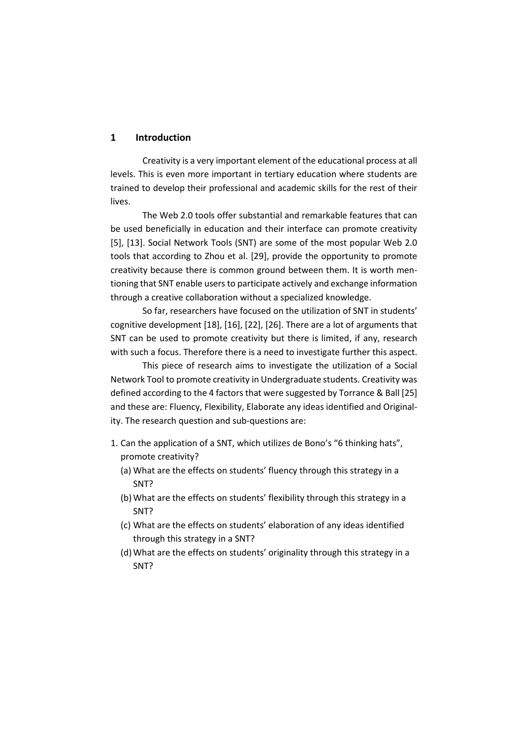### **1 Introduction**

Creativity is a very important element of the educational process at all levels. This is even more important in tertiary education where students are trained to develop their professional and academic skills for the rest of their lives.

The Web 2.0 tools offer substantial and remarkable features that can be used beneficially in education and their interface can promote creativity [5], [13]. Social Network Tools (SNT) are some of the most popular Web 2.0 tools that according to Zhou et al. [29], provide the opportunity to promote creativity because there is common ground between them. It is worth mentioning that SNT enable users to participate actively and exchange information through a creative collaboration without a specialized knowledge.

So far, researchers have focused on the utilization of SNT in students' cognitive development [18], [16], [22], [26]. There are a lot of arguments that SNT can be used to promote creativity but there is limited, if any, research with such a focus. Therefore there is a need to investigate further this aspect.

This piece of research aims to investigate the utilization of a Social Network Tool to promote creativity in Undergraduate students. Creativity was defined according to the 4 factors that were suggested by Torrance & Ball [25] and these are: Fluency, Flexibility, Elaborate any ideas identified and Originality. The research question and sub-questions are:

- 1. Can the application of a SNT, which utilizes de Bono's "6 thinking hats", promote creativity?
	- (a) What are the effects on students' fluency through this strategy in a SNT?
	- (b) What are the effects on students' flexibility through this strategy in a SNT?
	- (c) What are the effects on students' elaboration of any ideas identified through this strategy in a SNT?
	- (d) What are the effects on students' originality through this strategy in a SNT?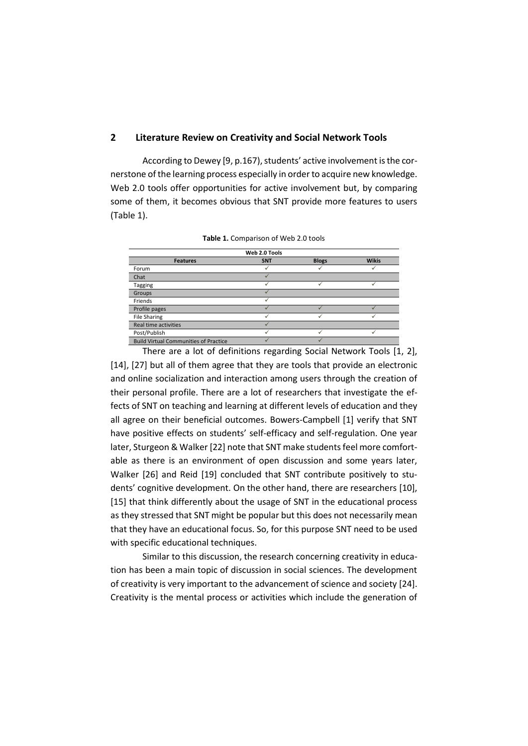### **2 Literature Review on Creativity and Social Network Tools**

According to Dewey [9, p.167), students' active involvement is the cornerstone of the learning process especially in order to acquire new knowledge. Web 2.0 tools offer opportunities for active involvement but, by comparing some of them, it becomes obvious that SNT provide more features to users (Table 1).

|                                              | Web 2.0 Tools |              |              |
|----------------------------------------------|---------------|--------------|--------------|
| <b>Features</b>                              | <b>SNT</b>    | <b>Blogs</b> | <b>Wikis</b> |
| Forum                                        |               |              |              |
| Chat                                         |               |              |              |
| Tagging                                      |               |              |              |
| Groups                                       |               |              |              |
| Friends                                      |               |              |              |
| Profile pages                                |               |              |              |
| <b>File Sharing</b>                          |               |              |              |
| Real time activities                         |               |              |              |
| Post/Publish                                 |               |              |              |
| <b>Build Virtual Communities of Practice</b> |               |              |              |

|  | Table 1. Comparison of Web 2.0 tools |  |  |  |  |
|--|--------------------------------------|--|--|--|--|
|--|--------------------------------------|--|--|--|--|

There are a lot of definitions regarding Social Network Tools [1, 2], [14], [27] but all of them agree that they are tools that provide an electronic and online socialization and interaction among users through the creation of their personal profile. There are a lot of researchers that investigate the effects of SNT on teaching and learning at different levels of education and they all agree on their beneficial outcomes. Bowers-Campbell [1] verify that SNT have positive effects on students' self-efficacy and self-regulation. One year later, Sturgeon & Walker [22] note that SNT make students feel more comfortable as there is an environment of open discussion and some years later, Walker [26] and Reid [19] concluded that SNT contribute positively to students' cognitive development. On the other hand, there are researchers [10], [15] that think differently about the usage of SNT in the educational process as they stressed that SNT might be popular but this does not necessarily mean that they have an educational focus. So, for this purpose SNT need to be used with specific educational techniques.

Similar to this discussion, the research concerning creativity in education has been a main topic of discussion in social sciences. The development of creativity is very important to the advancement of science and society [24]. Creativity is the mental process or activities which include the generation of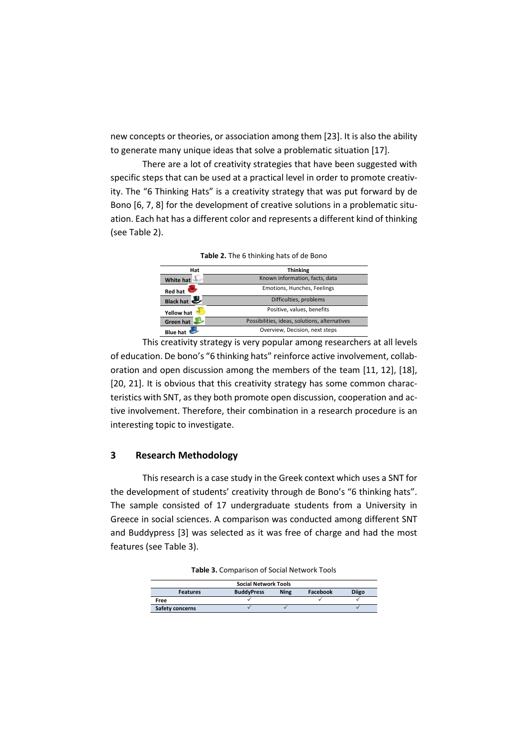new concepts or theories, or association among them [23]. It is also the ability to generate many unique ideas that solve a problematic situation [17].

There are a lot of creativity strategies that have been suggested with specific steps that can be used at a practical level in order to promote creativity. The "6 Thinking Hats" is a creativity strategy that was put forward by de Bono [6, 7, 8] for the development of creative solutions in a problematic situation. Each hat has a different color and represents a different kind of thinking (see Table 2).

| Hat              | <b>Thinking</b>                               |
|------------------|-----------------------------------------------|
| <b>White hat</b> | Known information, facts, data                |
| <b>Red hat</b>   | Emotions, Hunches, Feelings                   |
| Black hat        | Difficulties, problems                        |
| Yellow hat       | Positive, values, benefits                    |
| Green hat        | Possibilities, ideas, solutions, alternatives |
| <b>Blue</b> ha   | Overview, Decision, next steps                |

**Table 2.** The 6 thinking hats of de Bono

This creativity strategy is very popular among researchers at all levels of education. De bono's "6 thinking hats" reinforce active involvement, collaboration and open discussion among the members of the team [11, 12], [18], [20, 21]. It is obvious that this creativity strategy has some common characteristics with SNT, as they both promote open discussion, cooperation and active involvement. Therefore, their combination in a research procedure is an interesting topic to investigate.

## **3 Research Methodology**

This research is a case study in the Greek context which uses a SNT for the development of students' creativity through de Bono's "6 thinking hats". The sample consisted of 17 undergraduate students from a University in Greece in social sciences. A comparison was conducted among different SNT and Buddypress [3] was selected as it was free of charge and had the most features (see Table 3).

| <b>Social Network Tools</b> |                   |             |          |       |  |
|-----------------------------|-------------------|-------------|----------|-------|--|
| <b>Features</b>             | <b>BuddyPress</b> | <b>Ning</b> | Facebook | Diigo |  |
| Free                        |                   |             |          |       |  |
| Safety concerns             |                   |             |          |       |  |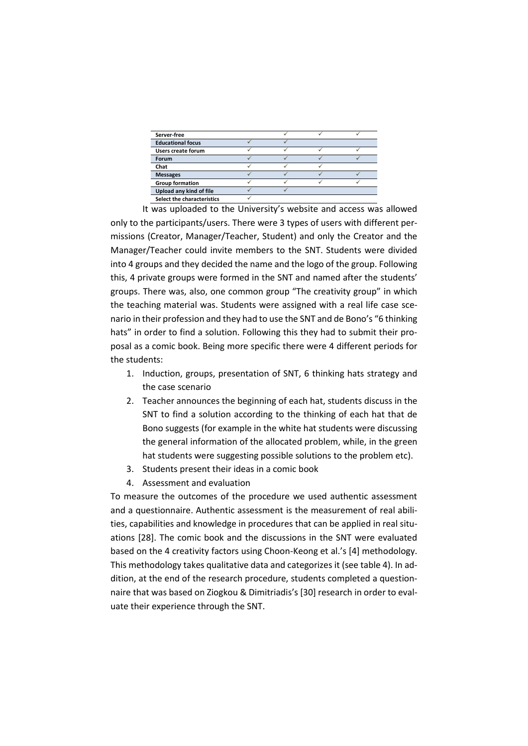| Server-free                |  |  |
|----------------------------|--|--|
| <b>Educational focus</b>   |  |  |
| <b>Users create forum</b>  |  |  |
| <b>Forum</b>               |  |  |
| Chat                       |  |  |
| <b>Messages</b>            |  |  |
| <b>Group formation</b>     |  |  |
| Upload any kind of file    |  |  |
| Select the characteristics |  |  |

It was uploaded to the University's website and access was allowed only to the participants/users. There were 3 types of users with different permissions (Creator, Manager/Teacher, Student) and only the Creator and the Manager/Teacher could invite members to the SNT. Students were divided into 4 groups and they decided the name and the logo of the group. Following this, 4 private groups were formed in the SNT and named after the students' groups. There was, also, one common group "The creativity group" in which the teaching material was. Students were assigned with a real life case scenario in their profession and they had to use the SNT and de Bono's "6 thinking hats" in order to find a solution. Following this they had to submit their proposal as a comic book. Being more specific there were 4 different periods for the students:

- 1. Induction, groups, presentation of SNT, 6 thinking hats strategy and the case scenario
- 2. Teacher announces the beginning of each hat, students discuss in the SNT to find a solution according to the thinking of each hat that de Bono suggests (for example in the white hat students were discussing the general information of the allocated problem, while, in the green hat students were suggesting possible solutions to the problem etc).
- 3. Students present their ideas in a comic book
- 4. Assessment and evaluation

To measure the outcomes of the procedure we used authentic assessment and a questionnaire. Authentic assessment is the measurement of real abilities, capabilities and knowledge in procedures that can be applied in real situations [28]. The comic book and the discussions in the SNT were evaluated based on the 4 creativity factors using Choon-Keong et al.'s [4] methodology. This methodology takes qualitative data and categorizes it (see table 4). In addition, at the end of the research procedure, students completed a questionnaire that was based on Ziogkou & Dimitriadis's [30] research in order to evaluate their experience through the SNT.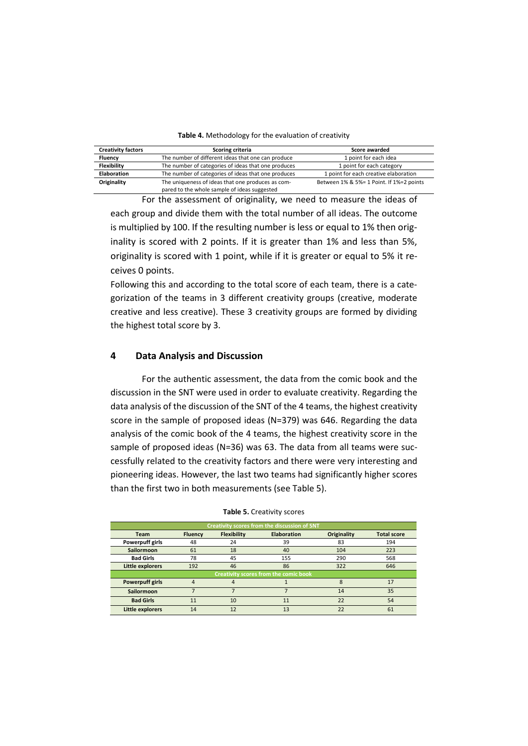#### **Table 4.** Methodology for the evaluation of creativity

| <b>Creativity factors</b> | Scoring criteria                                                                                  | Score awarded                            |
|---------------------------|---------------------------------------------------------------------------------------------------|------------------------------------------|
| <b>Fluency</b>            | The number of different ideas that one can produce                                                | 1 point for each idea                    |
| <b>Flexibility</b>        | The number of categories of ideas that one produces                                               | 1 point for each category                |
| <b>Elaboration</b>        | The number of categories of ideas that one produces                                               | 1 point for each creative elaboration    |
| Originality               | The uniqueness of ideas that one produces as com-<br>pared to the whole sample of ideas suggested | Between 1% & 5%= 1 Point. If 1%=2 points |

For the assessment of originality, we need to measure the ideas of each group and divide them with the total number of all ideas. The outcome is multiplied by 100. If the resulting number is less or equal to 1% then originality is scored with 2 points. If it is greater than 1% and less than 5%, originality is scored with 1 point, while if it is greater or equal to 5% it receives 0 points.

Following this and according to the total score of each team, there is a categorization of the teams in 3 different creativity groups (creative, moderate creative and less creative). These 3 creativity groups are formed by dividing the highest total score by 3.

## **4 Data Analysis and Discussion**

For the authentic assessment, the data from the comic book and the discussion in the SNT were used in order to evaluate creativity. Regarding the data analysis of the discussion of the SNT of the 4 teams, the highest creativity score in the sample of proposed ideas (N=379) was 646. Regarding the data analysis of the comic book of the 4 teams, the highest creativity score in the sample of proposed ideas (N=36) was 63. The data from all teams were successfully related to the creativity factors and there were very interesting and pioneering ideas. However, the last two teams had significantly higher scores than the first two in both measurements (see Table 5).

| Creativity scores from the discussion of SNT |                |                    |                                              |             |                    |
|----------------------------------------------|----------------|--------------------|----------------------------------------------|-------------|--------------------|
| Team                                         | <b>Fluency</b> | <b>Flexibility</b> | <b>Elaboration</b>                           | Originality | <b>Total score</b> |
| Powerpuff girls                              | 48             | 24                 | 39                                           | 83          | 194                |
| <b>Sailormoon</b>                            | 61             | 18                 | 40                                           | 104         | 223                |
| <b>Bad Girls</b>                             | 78             | 45                 | 155                                          | 290         | 568                |
| <b>Little explorers</b>                      | 192            | 46                 | 86                                           | 322         | 646                |
|                                              |                |                    | <b>Creativity scores from the comic book</b> |             |                    |
| <b>Powerpuff girls</b>                       |                |                    |                                              | ጸ           | 17                 |
| Sailormoon                                   |                |                    |                                              | 14          | 35                 |
| <b>Bad Girls</b>                             | 11             | 10                 | 11                                           | 22          | 54                 |
| <b>Little explorers</b>                      | 14             | 12                 | 13                                           | 22          | 61                 |

#### **Table 5.** Creativity scores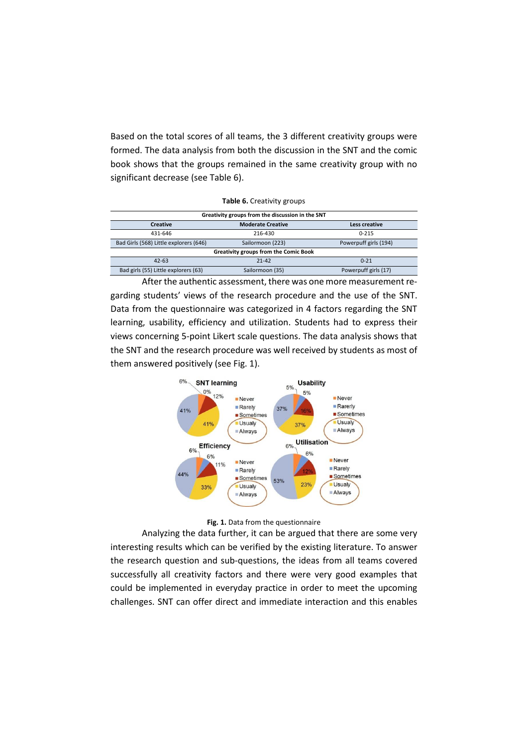Based on the total scores of all teams, the 3 different creativity groups were formed. The data analysis from both the discussion in the SNT and the comic book shows that the groups remained in the same creativity group with no significant decrease (see Table 6).

| Table 6. Creativity groups |
|----------------------------|
|----------------------------|

| Greativity groups from the discussion in the SNT                                    |                 |                      |  |  |  |
|-------------------------------------------------------------------------------------|-----------------|----------------------|--|--|--|
| <b>Moderate Creative</b><br><b>Creative</b><br>Less creative                        |                 |                      |  |  |  |
| 431-646                                                                             | 216-430         | $0 - 215$            |  |  |  |
| Bad Girls (568) Little explorers (646)<br>Powerpuff girls (194)<br>Sailormoon (223) |                 |                      |  |  |  |
| Greativity groups from the Comic Book                                               |                 |                      |  |  |  |
| $42 - 63$                                                                           | $21 - 42$       | $0 - 21$             |  |  |  |
| Bad girls (55) Little explorers (63)                                                | Sailormoon (35) | Powerpuff girls (17) |  |  |  |

After the authentic assessment, there was one more measurement regarding students' views of the research procedure and the use of the SNT. Data from the questionnaire was categorized in 4 factors regarding the SNT learning, usability, efficiency and utilization. Students had to express their views concerning 5-point Likert scale questions. The data analysis shows that the SNT and the research procedure was well received by students as most of them answered positively (see Fig. 1).



**Fig. 1.** Data from the questionnaire

Analyzing the data further, it can be argued that there are some very interesting results which can be verified by the existing literature. To answer the research question and sub-questions, the ideas from all teams covered successfully all creativity factors and there were very good examples that could be implemented in everyday practice in order to meet the upcoming challenges. SNT can offer direct and immediate interaction and this enables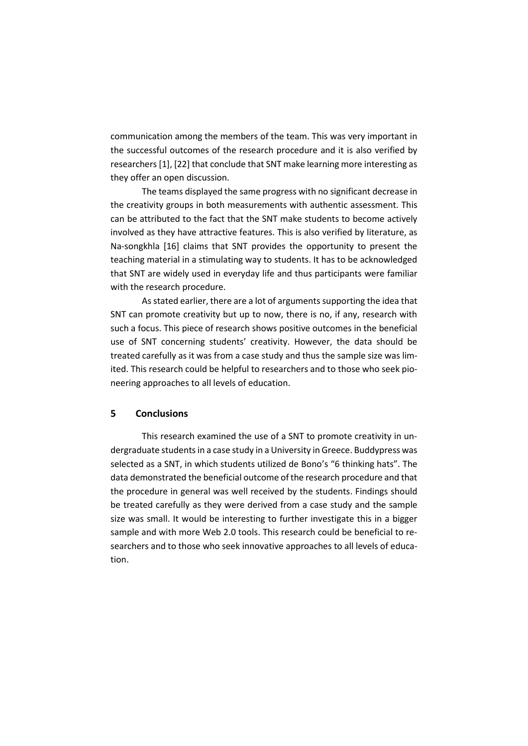communication among the members of the team. This was very important in the successful outcomes of the research procedure and it is also verified by researchers [1], [22] that conclude that SNT make learning more interesting as they offer an open discussion.

The teams displayed the same progress with no significant decrease in the creativity groups in both measurements with authentic assessment. This can be attributed to the fact that the SNT make students to become actively involved as they have attractive features. This is also verified by literature, as Na-songkhla [16] claims that SNT provides the opportunity to present the teaching material in a stimulating way to students. It has to be acknowledged that SNT are widely used in everyday life and thus participants were familiar with the research procedure.

As stated earlier, there are a lot of arguments supporting the idea that SNT can promote creativity but up to now, there is no, if any, research with such a focus. This piece of research shows positive outcomes in the beneficial use of SNT concerning students' creativity. However, the data should be treated carefully as it was from a case study and thus the sample size was limited. This research could be helpful to researchers and to those who seek pioneering approaches to all levels of education.

# **5 Conclusions**

This research examined the use of a SNT to promote creativity in undergraduate students in a case study in a University in Greece. Buddypress was selected as a SNT, in which students utilized de Bono's "6 thinking hats". The data demonstrated the beneficial outcome of the research procedure and that the procedure in general was well received by the students. Findings should be treated carefully as they were derived from a case study and the sample size was small. It would be interesting to further investigate this in a bigger sample and with more Web 2.0 tools. This research could be beneficial to researchers and to those who seek innovative approaches to all levels of education.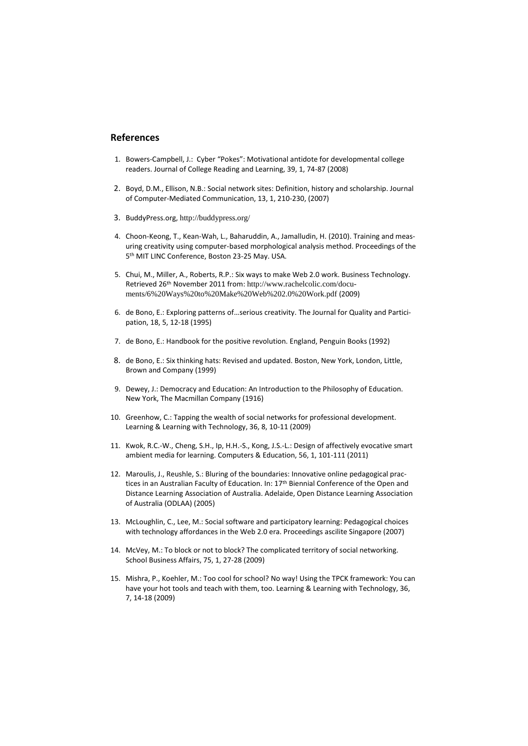### **References**

- 1. Bowers-Campbell, J.: Cyber "Pokes": Motivational antidote for developmental college readers. Journal of College Reading and Learning, 39, 1, 74-87 (2008)
- 2. Boyd, D.M., Ellison, N.B.: Social network sites: Definition, history and scholarship. Journal of Computer-Mediated Communication, 13, 1, 210-230, (2007)
- 3. BuddyPress.org, <http://buddypress.org/>
- 4. Choon-Keong, T., Kean-Wah, L., Baharuddin, A., Jamalludin, H. (2010). Training and measuring creativity using computer-based morphological analysis method. Proceedings of the 5 th MIT LINC Conference, Boston 23-25 May. USA.
- 5. Chui, M., Miller, A., Roberts, R.P.: Six ways to make Web 2.0 work. Business Technology. Retrieved 26th November 2011 from: [http://www.rachelcolic.com/docu](http://www.rachelcolic.com/documents/6%20Ways%20to%20Make%20Web%202.0%20Work.pdf)[ments/6%20Ways%20to%20Make%20Web%202.0%20Work.pdf](http://www.rachelcolic.com/documents/6%20Ways%20to%20Make%20Web%202.0%20Work.pdf) (2009)
- 6. de Bono, E.: Exploring patterns of…serious creativity. The Journal for Quality and Participation, 18, 5, 12-18 (1995)
- 7. de Bono, E.: Handbook for the positive revolution. England, Penguin Books (1992)
- 8. de Bono, E.: Six thinking hats: Revised and updated. Boston, New York, London, Little, Brown and Company (1999)
- 9. Dewey, J.: Democracy and Education: An Introduction to the Philosophy of Education. New York, The Macmillan Company (1916)
- 10. Greenhow, C.: Tapping the wealth of social networks for professional development. Learning & Learning with Technology, 36, 8, 10-11 (2009)
- 11. Kwok, R.C.-W., Cheng, S.H., Ip, H.H.-S., Kong, J.S.-L.: Design of affectively evocative smart ambient media for learning. Computers & Education, 56, 1, 101-111 (2011)
- 12. Maroulis, J., Reushle, S.: Bluring of the boundaries: Innovative online pedagogical practices in an Australian Faculty of Education. In: 17<sup>th</sup> Biennial Conference of the Open and Distance Learning Association of Australia. Adelaide, Open Distance Learning Association of Australia (ODLAA) (2005)
- 13. McLoughlin, C., Lee, M.: Social software and participatory learning: Pedagogical choices with technology affordances in the Web 2.0 era. Proceedings ascilite Singapore (2007)
- 14. McVey, M.: To block or not to block? The complicated territory of social networking. School Business Affairs, 75, 1, 27-28 (2009)
- 15. Mishra, P., Koehler, M.: Too cool for school? No way! Using the TPCK framework: You can have your hot tools and teach with them, too. Learning & Learning with Technology, 36, 7, 14-18 (2009)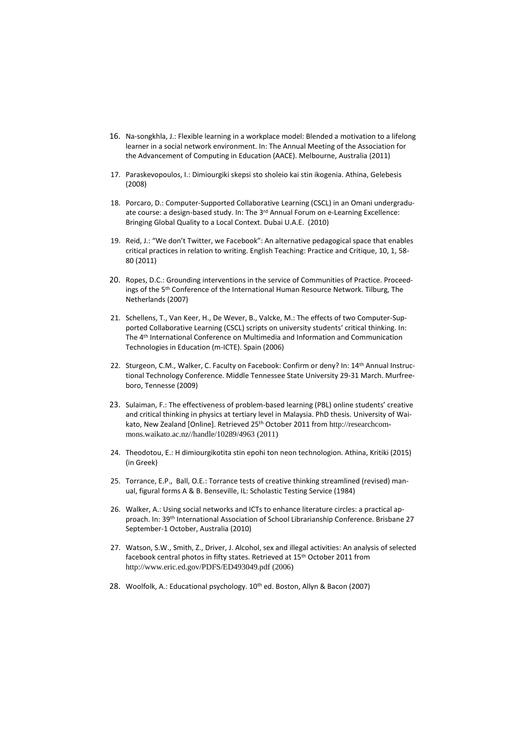- 16. Na-songkhla, J.: Flexible learning in a workplace model: Blended a motivation to a lifelong learner in a social network environment. In: The Annual Meeting of the Association for the Advancement of Computing in Education (AACE). Melbourne, Australia (2011)
- 17. Paraskevopoulos, I.: Dimiourgiki skepsi sto sholeio kai stin ikogenia. Athina, Gelebesis (2008)
- 18. Porcaro, D.: Computer-Supported Collaborative Learning (CSCL) in an Omani undergraduate course: a design-based study. In: The 3rd Annual Forum on e-Learning Excellence: Bringing Global Quality to a Local Context. Dubai U.A.E. (2010)
- 19. Reid, J.: "We don't Twitter, we Facebook": An alternative pedagogical space that enables critical practices in relation to writing. English Teaching: Practice and Critique, 10, 1, 58- 80 (2011)
- 20. Ropes, D.C.: Grounding interventions in the service of Communities of Practice. Proceedings of the 5<sup>th</sup> Conference of the International Human Resource Network. Tilburg, The Netherlands (2007)
- 21. Schellens, T., Van Keer, H., De Wever, B., Valcke, M.: The effects of two Computer-Supported Collaborative Learning (CSCL) scripts on university students' critical thinking. In: The 4th International Conference on Multimedia and Information and Communication Technologies in Education (m-ICTE). Spain (2006)
- 22. Sturgeon, C.M., Walker, C. Faculty on Facebook: Confirm or deny? In: 14th Annual Instructional Technology Conference. Middle Tennessee State University 29-31 March. Murfreeboro, Tennesse (2009)
- 23. Sulaiman, F.: The effectiveness of problem-based learning (PBL) online students' creative and critical thinking in physics at tertiary level in Malaysia. PhD thesis. University of Waikato, New Zealand [Online]. Retrieved 25th October 2011 from [http://researchcom](http://researchcommons.waikato.ac.nz/handle/10289/4963)[mons.waikato.ac.nz//handle/10289/4963](http://researchcommons.waikato.ac.nz/handle/10289/4963) (2011)
- 24. Theodotou, E.: H dimiourgikotita stin epohi ton neon technologion. Athina, Kritiki (2015) (in Greek)
- 25. Torrance, E.P., Ball, O.E.: Torrance tests of creative thinking streamlined (revised) manual, figural forms A & B. Benseville, IL: Scholastic Testing Service (1984)
- 26. Walker, A.: Using social networks and ICTs to enhance literature circles: a practical approach. In: 39th International Association of School Librarianship Conference. Brisbane 27 September-1 October, Australia (2010)
- 27. Watson, S.W., Smith, Z., Driver, J. Alcohol, sex and illegal activities: An analysis of selected facebook central photos in fifty states. Retrieved at 15th October 2011 from <http://www.eric.ed.gov/PDFS/ED493049.pdf> (2006)
- 28. Woolfolk, A.: Educational psychology. 10<sup>th</sup> ed. Boston, Allyn & Bacon (2007)